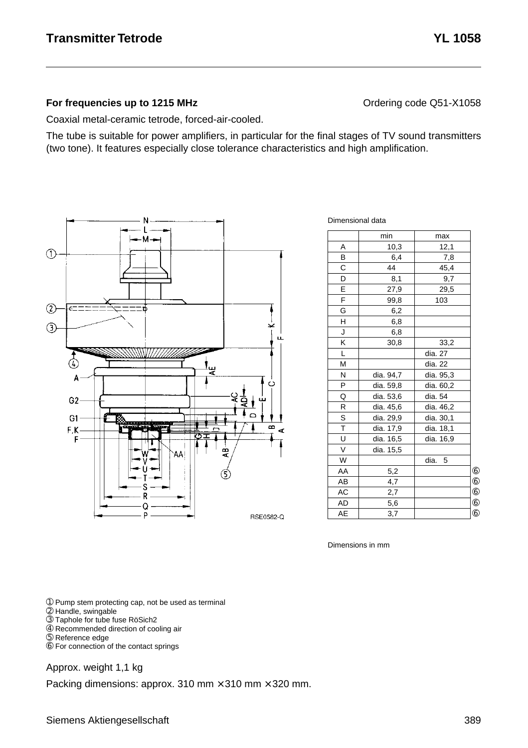#### **For frequencies up to 1215 MHz Contact According Code CONTER CONTERNATION** Ordering code Q51-X1058

Coaxial metal-ceramic tetrode, forced-air-cooled.

The tube is suitable for power amplifiers, in particular for the final stages of TV sound transmitters (two tone). It features especially close tolerance characteristics and high amplification.



Dimensional data

|    | min       | max        |            |
|----|-----------|------------|------------|
| A  | 10,3      | 12,1       |            |
| B  | 6,4       | 7,8        |            |
| C  | 44        | 45,4       |            |
| D  | 8,1       | 9,7        |            |
| E  | 27,9      | 29,5       |            |
| F  | 99,8      | 103        |            |
| Ġ  | 6,2       |            |            |
| Η  | 6,8       |            |            |
| J  | 6,8       |            |            |
| Κ  | 30,8      | 33,2       |            |
| L  |           | dia. 27    |            |
| M  |           | dia. 22    |            |
| N  | dia. 94,7 | dia. 95,3  |            |
| P  | dia. 59,8 | dia. 60,2  |            |
| Q  | dia. 53,6 | dia. 54    |            |
| R  | dia. 45,6 | dia. 46,2  |            |
| S  | dia. 29,9 | dia. 30,1  |            |
| T  | dia. 17,9 | dia. 18,1  |            |
| U  | dia. 16,5 | dia. 16,9  |            |
| V  | dia. 15,5 |            |            |
| W  |           | dia.<br>-5 |            |
| AA | 5,2       |            | $^{\circ}$ |
| AB | 4,7       |            | $^{\circ}$ |
| AC | 2,7       |            | $^{\circ}$ |
| AD | 5,6       |            | $^{\circ}$ |
| AE | 3,7       |            | $6$        |

Dimensions in mm

➀ Pump stem protecting cap, not be used as terminal

- ➁ Handle, swingable
- ➂ Taphole for tube fuse RöSich2
- ➃ Recommended direction of cooling air
- ➄ Reference edge
- ➅ For connection of the contact springs

Approx. weight 1,1 kg

Packing dimensions: approx. 310 mm  $\times$  310 mm  $\times$  320 mm.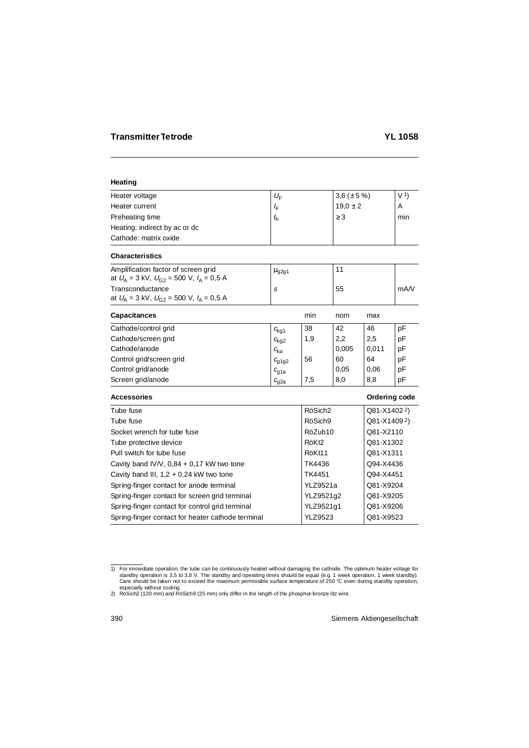# **Heating**

| Heater voltage                | $U_{\rm F}$ | 3,6 ( $\pm$ 5 %) | V <sub>1</sub> |
|-------------------------------|-------------|------------------|----------------|
| Heater current                | ≀F          | $19.0 \pm 2$     | A              |
| Preheating time               | $t_{\rm h}$ | $\geq$ 3         | min            |
| Heating: indirect by ac or dc |             |                  |                |
| Cathode: matrix oxide         |             |                  |                |

## **Characteristics**

| Amplification factor of screen grid<br>at $U_{A} = 3$ kV, $U_{G2} = 500$ V, $I_{A} = 0.5$ A | $\mu$ <sub>g2g1</sub> |    |      |
|---------------------------------------------------------------------------------------------|-----------------------|----|------|
| Transconductance                                                                            |                       | 55 | mA/V |
| at $U_{A} = 3$ kV, $U_{G2} = 500$ V, $I_{A} = 0.5$ A                                        |                       |    |      |

| <b>Capacitances</b>      |                  | min | nom   | max   |    |
|--------------------------|------------------|-----|-------|-------|----|
| Cathode/control grid     | $c_{\text{kq1}}$ | 38  | 42    | 46    | рF |
| Cathode/screen grid      | $c_{\text{kq2}}$ | 1,9 | 2,2   | 2,5   | рF |
| Cathode/anode            | $c_{\rm ka}$     |     | 0,005 | 0,011 | рF |
| Control grid/screen grid | $c_{q1q2}$       | 56  | 60    | 64    | рF |
| Control grid/anode       | $c_{q1a}$        |     | 0,05  | 0,06  | рF |
| Screen grid/anode        | $c_{\rm g2a}$    | 7,5 | 8,0   | 8,8   | pF |

#### **Accessories Contract Contract Contract Contract Contract Contract Contract Contract Contract Contract Contract Contract Contract Contract Contract Contract Contract Contract Contract Contract Contract Contract Contract Co**

| Tube fuse                                         | RöSich <sub>2</sub> | Q81-X14022) |
|---------------------------------------------------|---------------------|-------------|
| Tube fuse                                         | RöSich9             | Q81-X14092) |
| Socket wrench for tube fuse                       | RöZub10             | Q81-X2110   |
| Tube protective device                            | RöKt <sub>2</sub>   | Q81-X1302   |
| Pull switch for tube fuse                         | RöKt11              | Q81-X1311   |
| Cavity band IV/V, $0,84 + 0,17$ kW two tone       | TK4436              | Q94-X4436   |
| Cavity band III, $1,2 + 0,24$ kW two tone         | TK4451              | Q94-X4451   |
| Spring-finger contact for anode terminal          | <b>YLZ9521a</b>     | Q81-X9204   |
| Spring-finger contact for screen grid terminal    | YLZ9521q2           | Q81-X9205   |
| Spring-finger contact for control grid terminal   | YLZ9521g1           | Q81-X9206   |
| Spring-finger contact for heater cathode terminal | <b>YLZ9523</b>      | Q81-X9523   |
|                                                   |                     |             |

for immediate operation, the tube can be continuously heated without damaging the cathode. The optimum heater voltage for \$1,8 V. The standby and operating times should be equal (e.g. 1 week operation, 1 week standby). Care should be taken not to exceed the maximum permissible surface temperature of 250 °C even during standby operation, especially without cooling.

<sup>2)</sup> RöSich2 (120 mm) and RöSich9 (25 mm) only differ in the length of the phosphor-bronze litz wire.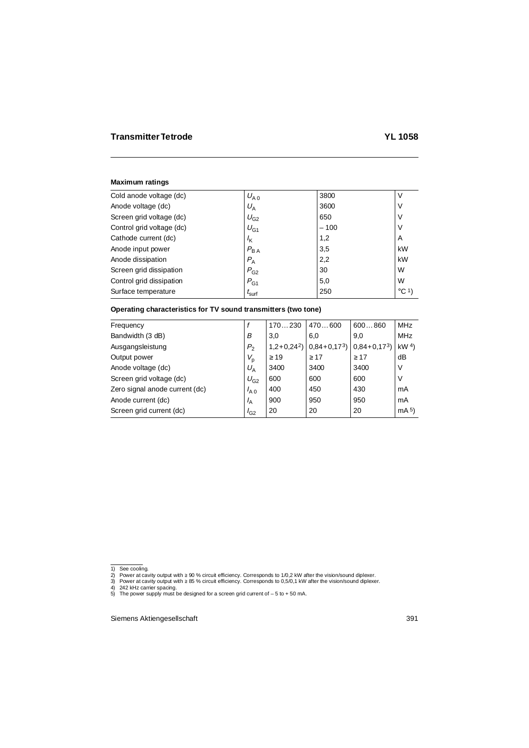#### **Maximum ratings**

| Cold anode voltage (dc)   | $U_{A,0}$         | 3800   | V               |
|---------------------------|-------------------|--------|-----------------|
| Anode voltage (dc)        | $U_{\rm A}$       | 3600   | ν               |
| Screen grid voltage (dc)  | $U_{G2}$          | 650    | ٧               |
| Control grid voltage (dc) | $U_{G1}$          | $-100$ | ٧               |
| Cathode current (dc)      | $I_{\mathsf{K}}$  | 1,2    | A               |
| Anode input power         | $P_{BA}$          | 3,5    | kW              |
| Anode dissipation         | $P_{A}$           | 2,2    | kW              |
| Screen grid dissipation   | $P_{G2}$          | 30     | W               |
| Control grid dissipation  | $P_{G1}$          | 5,0    | W               |
| Surface temperature       | $I_{\text{surf}}$ | 250    | $^{\circ}$ C 1) |

## **Operating characteristics for TV sound transmitters (two tone)**

| Frequency                      |                | 170230       | 470600         | 600860       | <b>MHz</b>      |
|--------------------------------|----------------|--------------|----------------|--------------|-----------------|
| Bandwidth (3 dB)<br>В          |                | 3,0          | 6.0            | 9.0          | <b>MHz</b>      |
| Ausgangsleistung               | P <sub>2</sub> | $1,2+0,24^2$ | $0.84 + 0.173$ | $0,84+0,173$ | kW <sup>4</sup> |
| Output power                   | $V_{\rm p}$    | $\geq$ 19    | $\geq 17$      | $\geq 17$    | dB              |
| Anode voltage (dc)             | $U_A$          | 3400         | 3400           | 3400         | V               |
| Screen grid voltage (dc)       | $U_{G2}$       | 600          | 600            | 600          | ν               |
| Zero signal anode current (dc) | $I_{A,0}$      | 400          | 450            | 430          | mA              |
| Anode current (dc)             | $I_A$          | 900          | 950            | 950          | mA              |
| Screen grid current (dc)       | $I_{G2}$       | 20           | 20             | 20           | mA <sub>5</sub> |

<sup>1)</sup> See cooling. 2) Power at cavity output with ≥ 90 % circuit efficiency. Corresponds to 1/0,2 kW after the vision/sound diplexer.

<sup>3)</sup> Power at cavity output with ≥ 85 % circuit efficiency. Corresponds to 0,5/0,1 kW after the vision/sound diplexer.

<sup>4)</sup> 242 kHz carrier spacing. 5) The power supply must be designed for a screen grid current of – 5 to + 50 mA.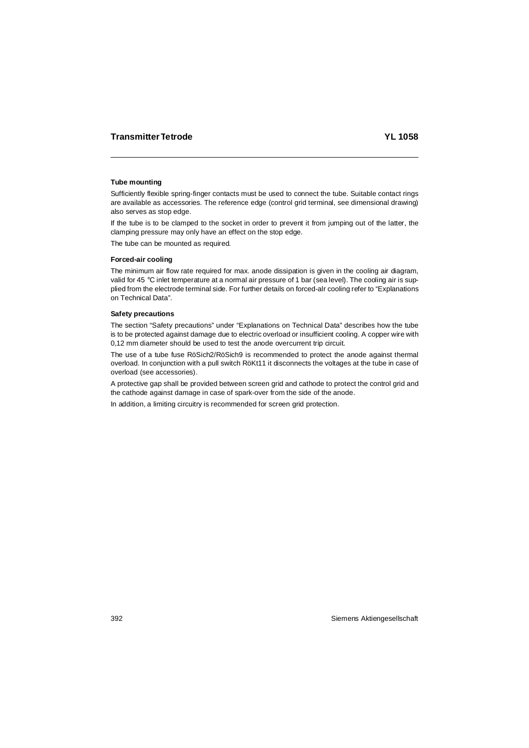## **Tube mounting**

Sufficiently flexible spring-finger contacts must be used to connect the tube. Suitable contact rings are available as accessories. The reference edge (control grid terminal, see dimensional drawing) also serves as stop edge.

If the tube is to be clamped to the socket in order to prevent it from jumping out of the latter, the clamping pressure may only have an effect on the stop edge.

The tube can be mounted as required.

## **Forced-air cooling**

The minimum air flow rate required for max. anode dissipation is given in the cooling air diagram, valid for 45 °C inlet temperature at a normal air pressure of 1 bar (sea level). The cooling air is supplied from the electrode terminal side. For further details on forced-alr cooling refer to "Explanations on Technical Data".

#### **Safety precautions**

The section "Safety precautions" under "Explanations on Technical Data" describes how the tube is to be protected against damage due to electric overload or insufficient cooling. A copper wire with 0,12 mm diameter should be used to test the anode overcurrent trip circuit.

The use of a tube fuse RöSich2/RöSich9 is recommended to protect the anode against thermal overload. In conjunction with a pull switch RöKt11 it disconnects the voltages at the tube in case of overload (see accessories).

A protective gap shall be provided between screen grid and cathode to protect the control grid and the cathode against damage in case of spark-over from the side of the anode.

In addition, a limiting circuitry is recommended for screen grid protection.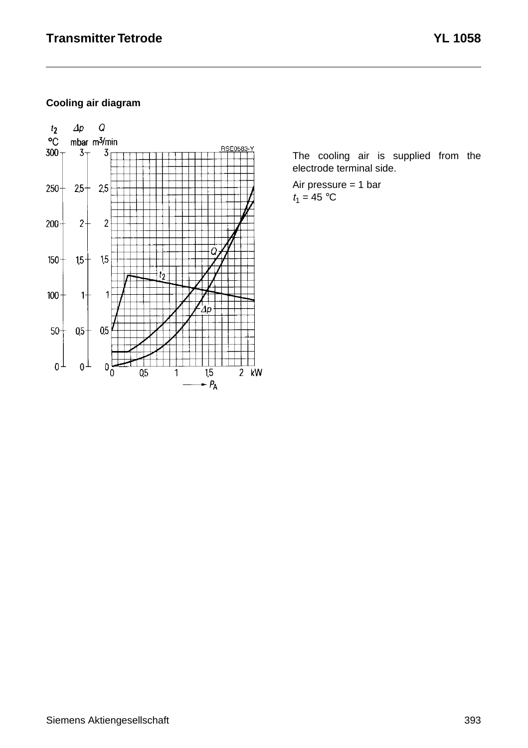# **Cooling air diagram**



The cooling air is supplied from the electrode terminal side.

Air pressure = 1 bar  $t_1 = 45$  °C